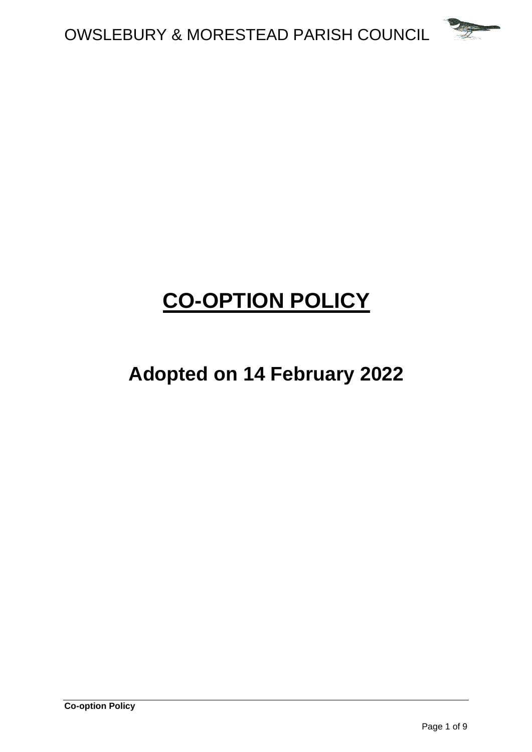

# **CO-OPTION POLICY**

## **Adopted on 14 February 2022**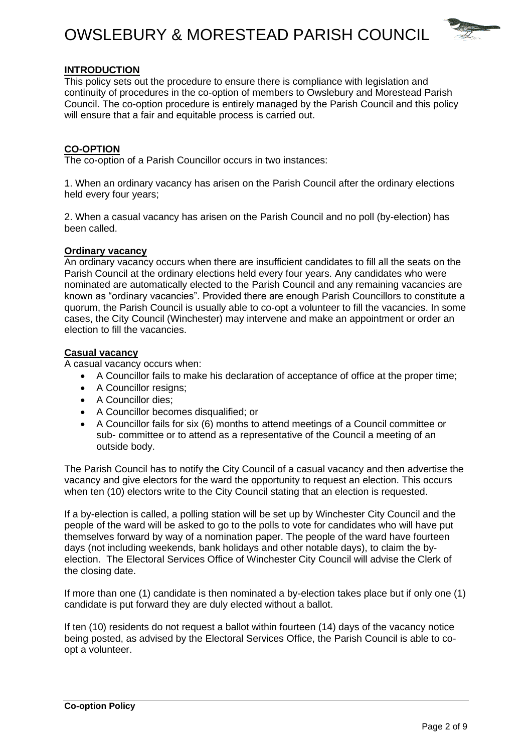### OWSLEBURY & MORESTEAD PARISH COUNCIL



#### **INTRODUCTION**

This policy sets out the procedure to ensure there is compliance with legislation and continuity of procedures in the co-option of members to Owslebury and Morestead Parish Council. The co-option procedure is entirely managed by the Parish Council and this policy will ensure that a fair and equitable process is carried out.

#### **CO-OPTION**

The co-option of a Parish Councillor occurs in two instances:

1. When an ordinary vacancy has arisen on the Parish Council after the ordinary elections held every four years;

2. When a casual vacancy has arisen on the Parish Council and no poll (by-election) has been called.

#### **Ordinary vacancy**

An ordinary vacancy occurs when there are insufficient candidates to fill all the seats on the Parish Council at the ordinary elections held every four years. Any candidates who were nominated are automatically elected to the Parish Council and any remaining vacancies are known as "ordinary vacancies". Provided there are enough Parish Councillors to constitute a quorum, the Parish Council is usually able to co-opt a volunteer to fill the vacancies. In some cases, the City Council (Winchester) may intervene and make an appointment or order an election to fill the vacancies.

#### **Casual vacancy**

A casual vacancy occurs when:

- A Councillor fails to make his declaration of acceptance of office at the proper time;
- A Councillor resigns:
- A Councillor dies;
- A Councillor becomes disqualified; or
- A Councillor fails for six (6) months to attend meetings of a Council committee or sub- committee or to attend as a representative of the Council a meeting of an outside body.

The Parish Council has to notify the City Council of a casual vacancy and then advertise the vacancy and give electors for the ward the opportunity to request an election. This occurs when ten (10) electors write to the City Council stating that an election is requested.

If a by-election is called, a polling station will be set up by Winchester City Council and the people of the ward will be asked to go to the polls to vote for candidates who will have put themselves forward by way of a nomination paper. The people of the ward have fourteen days (not including weekends, bank holidays and other notable days), to claim the byelection. The Electoral Services Office of Winchester City Council will advise the Clerk of the closing date.

If more than one (1) candidate is then nominated a by-election takes place but if only one (1) candidate is put forward they are duly elected without a ballot.

If ten (10) residents do not request a ballot within fourteen (14) days of the vacancy notice being posted, as advised by the Electoral Services Office, the Parish Council is able to coopt a volunteer.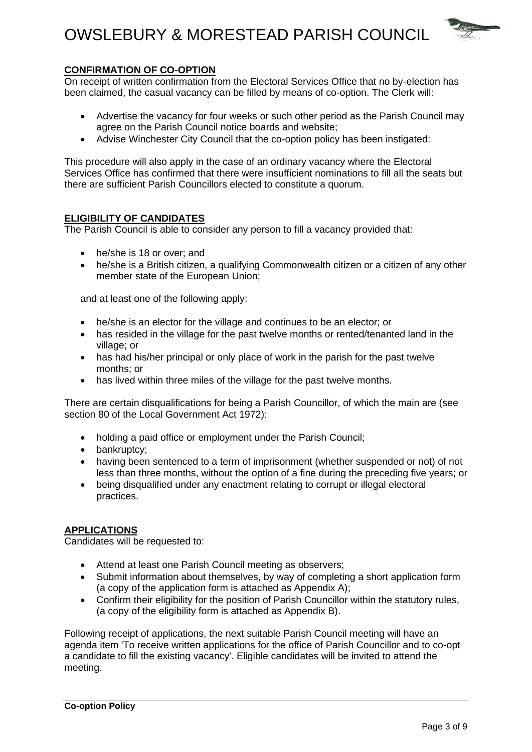## OWSLEBURY & MORESTEAD PARISH COUNCIL



#### **CONFIRMATION OF CO-OPTION**

On receipt of written confirmation from the Electoral Services Office that no by-election has been claimed, the casual vacancy can be filled by means of co-option. The Clerk will:

- Advertise the vacancy for four weeks or such other period as the Parish Council may agree on the Parish Council notice boards and website;
- Advise Winchester City Council that the co-option policy has been instigated:

This procedure will also apply in the case of an ordinary vacancy where the Electoral Services Office has confirmed that there were insufficient nominations to fill all the seats but there are sufficient Parish Councillors elected to constitute a quorum.

#### **ELIGIBILITY OF CANDIDATES**

The Parish Council is able to consider any person to fill a vacancy provided that:

- he/she is 18 or over: and
- he/she is a British citizen, a qualifying Commonwealth citizen or a citizen of any other member state of the European Union;

and at least one of the following apply:

- he/she is an elector for the village and continues to be an elector; or
- has resided in the village for the past twelve months or rented/tenanted land in the village; or
- has had his/her principal or only place of work in the parish for the past twelve months; or
- has lived within three miles of the village for the past twelve months.

There are certain disqualifications for being a Parish Councillor, of which the main are (see section 80 of the Local Government Act 1972):

- holding a paid office or employment under the Parish Council;
- bankruptcy;
- having been sentenced to a term of imprisonment (whether suspended or not) of not less than three months, without the option of a fine during the preceding five years; or
- being disqualified under any enactment relating to corrupt or illegal electoral practices.

#### **APPLICATIONS**

Candidates will be requested to:

- Attend at least one Parish Council meeting as observers;
- Submit information about themselves, by way of completing a short application form (a copy of the application form is attached as Appendix A);
- Confirm their eligibility for the position of Parish Councillor within the statutory rules, (a copy of the eligibility form is attached as Appendix B).

Following receipt of applications, the next suitable Parish Council meeting will have an agenda item 'To receive written applications for the office of Parish Councillor and to co-opt a candidate to fill the existing vacancy'. Eligible candidates will be invited to attend the meeting.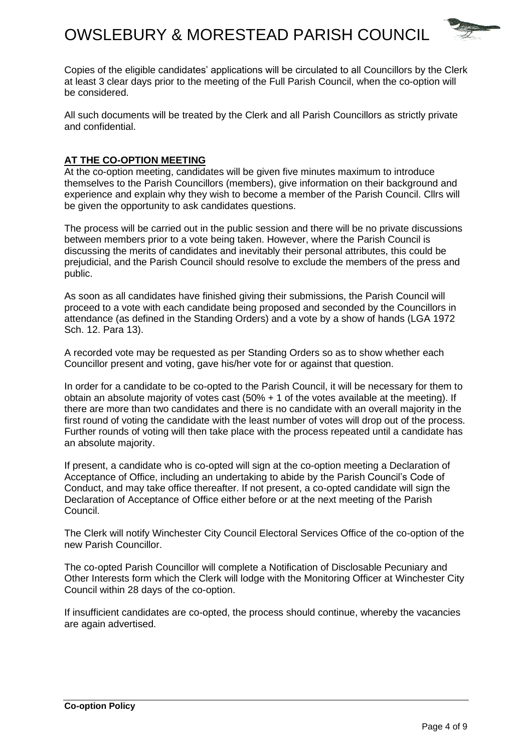

Copies of the eligible candidates' applications will be circulated to all Councillors by the Clerk at least 3 clear days prior to the meeting of the Full Parish Council, when the co-option will be considered.

All such documents will be treated by the Clerk and all Parish Councillors as strictly private and confidential.

#### **AT THE CO-OPTION MEETING**

At the co-option meeting, candidates will be given five minutes maximum to introduce themselves to the Parish Councillors (members), give information on their background and experience and explain why they wish to become a member of the Parish Council. Cllrs will be given the opportunity to ask candidates questions.

The process will be carried out in the public session and there will be no private discussions between members prior to a vote being taken. However, where the Parish Council is discussing the merits of candidates and inevitably their personal attributes, this could be prejudicial, and the Parish Council should resolve to exclude the members of the press and public.

As soon as all candidates have finished giving their submissions, the Parish Council will proceed to a vote with each candidate being proposed and seconded by the Councillors in attendance (as defined in the Standing Orders) and a vote by a show of hands (LGA 1972 Sch. 12. Para 13).

A recorded vote may be requested as per Standing Orders so as to show whether each Councillor present and voting, gave his/her vote for or against that question.

In order for a candidate to be co-opted to the Parish Council, it will be necessary for them to obtain an absolute majority of votes cast (50% + 1 of the votes available at the meeting). If there are more than two candidates and there is no candidate with an overall majority in the first round of voting the candidate with the least number of votes will drop out of the process. Further rounds of voting will then take place with the process repeated until a candidate has an absolute majority.

If present, a candidate who is co-opted will sign at the co-option meeting a Declaration of Acceptance of Office, including an undertaking to abide by the Parish Council's Code of Conduct, and may take office thereafter. If not present, a co-opted candidate will sign the Declaration of Acceptance of Office either before or at the next meeting of the Parish Council.

The Clerk will notify Winchester City Council Electoral Services Office of the co-option of the new Parish Councillor.

The co-opted Parish Councillor will complete a Notification of Disclosable Pecuniary and Other Interests form which the Clerk will lodge with the Monitoring Officer at Winchester City Council within 28 days of the co-option.

If insufficient candidates are co-opted, the process should continue, whereby the vacancies are again advertised.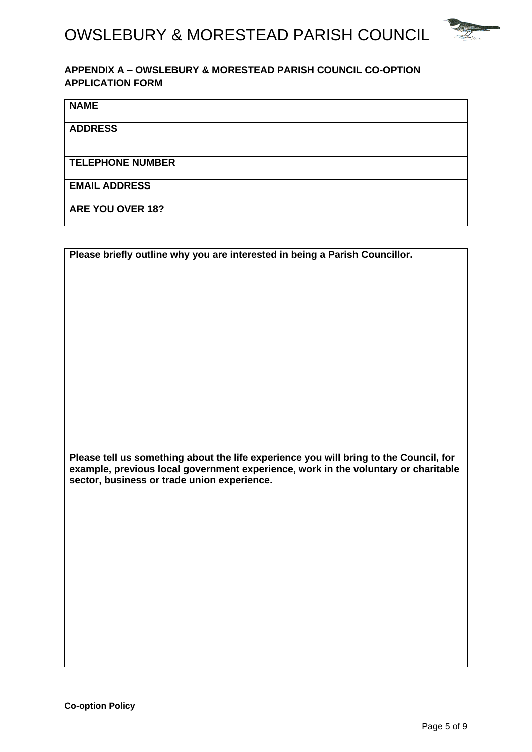

#### **APPENDIX A – OWSLEBURY & MORESTEAD PARISH COUNCIL CO-OPTION APPLICATION FORM**

| <b>NAME</b>             |  |
|-------------------------|--|
| <b>ADDRESS</b>          |  |
| <b>TELEPHONE NUMBER</b> |  |
| <b>EMAIL ADDRESS</b>    |  |
| ARE YOU OVER 18?        |  |

| Please briefly outline why you are interested in being a Parish Councillor.           |
|---------------------------------------------------------------------------------------|
|                                                                                       |
|                                                                                       |
|                                                                                       |
|                                                                                       |
|                                                                                       |
|                                                                                       |
|                                                                                       |
|                                                                                       |
|                                                                                       |
|                                                                                       |
|                                                                                       |
|                                                                                       |
|                                                                                       |
|                                                                                       |
|                                                                                       |
|                                                                                       |
|                                                                                       |
|                                                                                       |
|                                                                                       |
|                                                                                       |
|                                                                                       |
|                                                                                       |
|                                                                                       |
| Please tell us something about the life experience you will bring to the Council, for |
| example, previous local government experience, work in the voluntary or charitable    |
|                                                                                       |
| sector, business or trade union experience.                                           |
|                                                                                       |
|                                                                                       |
|                                                                                       |
|                                                                                       |
|                                                                                       |
|                                                                                       |
|                                                                                       |
|                                                                                       |
|                                                                                       |
|                                                                                       |
|                                                                                       |
|                                                                                       |
|                                                                                       |
|                                                                                       |
|                                                                                       |
|                                                                                       |
|                                                                                       |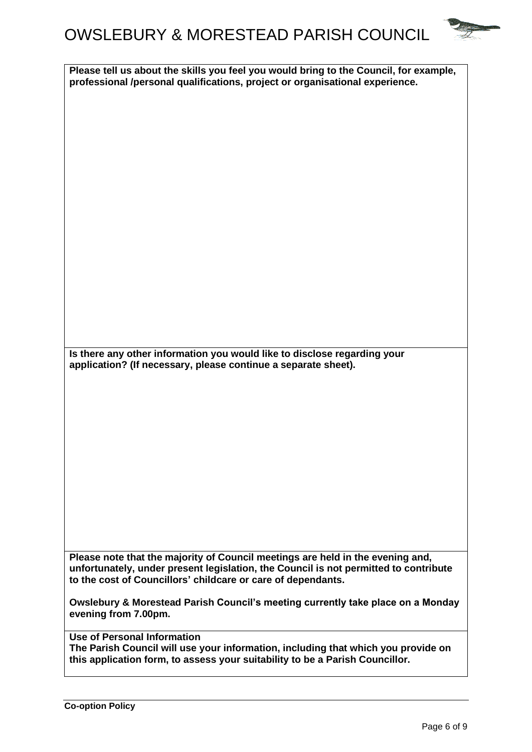## OWSLEBURY & MORESTEAD PARISH COUNCIL



**Please tell us about the skills you feel you would bring to the Council, for example, professional /personal qualifications, project or organisational experience.**

**Is there any other information you would like to disclose regarding your application? (If necessary, please continue a separate sheet).**

**Please note that the majority of Council meetings are held in the evening and, unfortunately, under present legislation, the Council is not permitted to contribute to the cost of Councillors' childcare or care of dependants.** 

**Owslebury & Morestead Parish Council's meeting currently take place on a Monday evening from 7.00pm.** 

**Use of Personal Information**

**The Parish Council will use your information, including that which you provide on this application form, to assess your suitability to be a Parish Councillor.**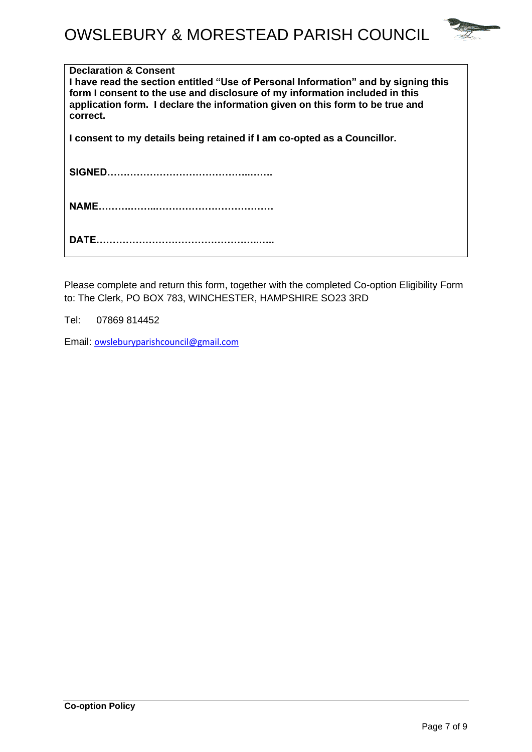

| <b>Declaration &amp; Consent</b><br>I have read the section entitled "Use of Personal Information" and by signing this<br>form I consent to the use and disclosure of my information included in this<br>application form. I declare the information given on this form to be true and<br>correct. |
|----------------------------------------------------------------------------------------------------------------------------------------------------------------------------------------------------------------------------------------------------------------------------------------------------|
| I consent to my details being retained if I am co-opted as a Councillor.                                                                                                                                                                                                                           |
|                                                                                                                                                                                                                                                                                                    |
|                                                                                                                                                                                                                                                                                                    |
|                                                                                                                                                                                                                                                                                                    |

Please complete and return this form, together with the completed Co-option Eligibility Form to: The Clerk, PO BOX 783, WINCHESTER, HAMPSHIRE SO23 3RD

Tel: 07869 814452

Email: [owsleburyparishcouncil@gmail.com](mailto:owsleburyparishcouncil@gmail.com)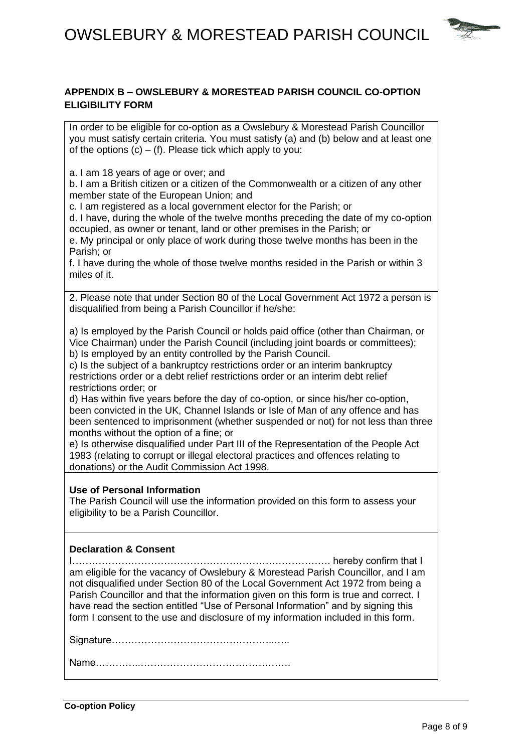

#### **APPENDIX B – OWSLEBURY & MORESTEAD PARISH COUNCIL CO-OPTION ELIGIBILITY FORM**

In order to be eligible for co-option as a Owslebury & Morestead Parish Councillor you must satisfy certain criteria. You must satisfy (a) and (b) below and at least one of the options  $(c) - (f)$ . Please tick which apply to you:

a. I am 18 years of age or over; and

b. I am a British citizen or a citizen of the Commonwealth or a citizen of any other member state of the European Union; and

c. I am registered as a local government elector for the Parish; or

d. I have, during the whole of the twelve months preceding the date of my co-option occupied, as owner or tenant, land or other premises in the Parish; or

e. My principal or only place of work during those twelve months has been in the Parish; or

f. I have during the whole of those twelve months resided in the Parish or within 3 miles of it.

2. Please note that under Section 80 of the Local Government Act 1972 a person is disqualified from being a Parish Councillor if he/she:

a) Is employed by the Parish Council or holds paid office (other than Chairman, or Vice Chairman) under the Parish Council (including joint boards or committees);

b) Is employed by an entity controlled by the Parish Council.

c) Is the subject of a bankruptcy restrictions order or an interim bankruptcy restrictions order or a debt relief restrictions order or an interim debt relief restrictions order; or

d) Has within five years before the day of co-option, or since his/her co-option, been convicted in the UK, Channel Islands or Isle of Man of any offence and has been sentenced to imprisonment (whether suspended or not) for not less than three months without the option of a fine; or

e) Is otherwise disqualified under Part III of the Representation of the People Act 1983 (relating to corrupt or illegal electoral practices and offences relating to donations) or the Audit Commission Act 1998.

#### **Use of Personal Information**

The Parish Council will use the information provided on this form to assess your eligibility to be a Parish Councillor.

#### **Declaration & Consent**

I……………………………………………………………………. hereby confirm that I am eligible for the vacancy of Owslebury & Morestead Parish Councillor, and I am not disqualified under Section 80 of the Local Government Act 1972 from being a Parish Councillor and that the information given on this form is true and correct. I have read the section entitled "Use of Personal Information" and by signing this form I consent to the use and disclosure of my information included in this form.

Signature…………………………………………..…..

Name…………..……………………………………….